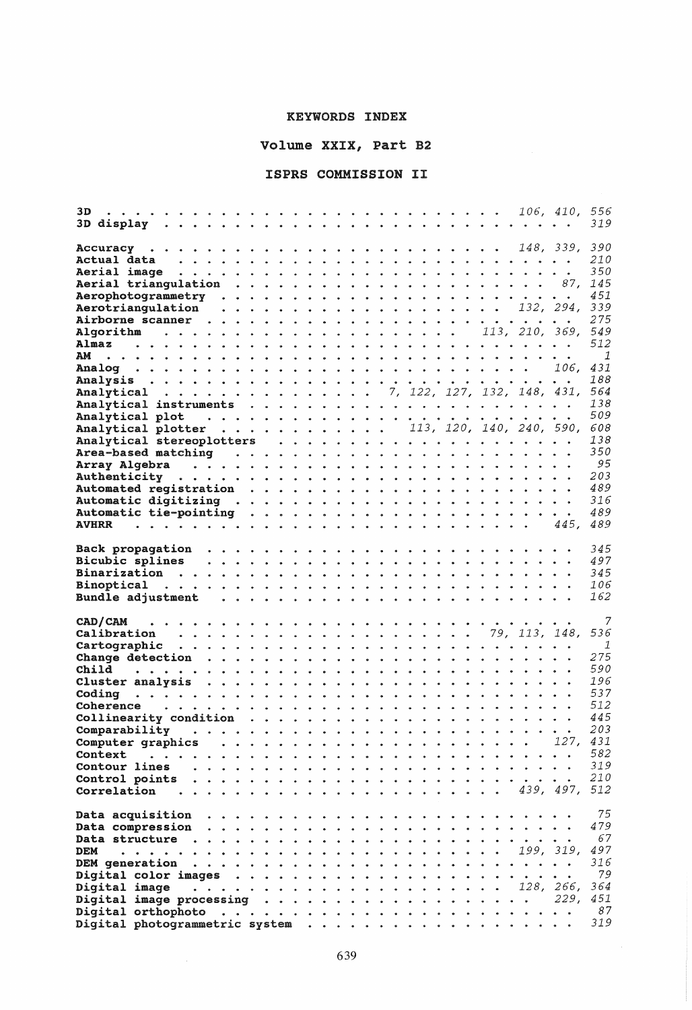## KEYWORDS INDEX

Volume XXIX, Part B2

## ISPRS COMMISSION II

| 3D                                                                                        |  |  |  |  |  |      | 319            |
|-------------------------------------------------------------------------------------------|--|--|--|--|--|------|----------------|
|                                                                                           |  |  |  |  |  |      |                |
|                                                                                           |  |  |  |  |  |      |                |
|                                                                                           |  |  |  |  |  |      | <i>210</i>     |
|                                                                                           |  |  |  |  |  |      | 350            |
|                                                                                           |  |  |  |  |  |      |                |
|                                                                                           |  |  |  |  |  |      | 451            |
| Aerotriangulation $\ldots \ldots \ldots \ldots \ldots \ldots \ldots \ldots 132, 294, 339$ |  |  |  |  |  |      |                |
|                                                                                           |  |  |  |  |  |      | 275            |
|                                                                                           |  |  |  |  |  |      |                |
|                                                                                           |  |  |  |  |  |      | 512            |
| AM                                                                                        |  |  |  |  |  |      | $\overline{1}$ |
|                                                                                           |  |  |  |  |  |      | 431            |
|                                                                                           |  |  |  |  |  |      | 188            |
| Analytical 7, 122, 127, 132, 148, 431,                                                    |  |  |  |  |  |      | 564            |
|                                                                                           |  |  |  |  |  |      | 138            |
|                                                                                           |  |  |  |  |  |      | 509            |
| Analytical plotter 113, 120, 140, 240, 590, 608                                           |  |  |  |  |  |      |                |
|                                                                                           |  |  |  |  |  |      | 138            |
|                                                                                           |  |  |  |  |  |      | 350            |
|                                                                                           |  |  |  |  |  |      | 95             |
|                                                                                           |  |  |  |  |  |      | 203            |
|                                                                                           |  |  |  |  |  |      | 489            |
|                                                                                           |  |  |  |  |  |      | 316            |
|                                                                                           |  |  |  |  |  |      | 489            |
|                                                                                           |  |  |  |  |  |      | 489            |
|                                                                                           |  |  |  |  |  |      |                |
|                                                                                           |  |  |  |  |  |      | 345            |
|                                                                                           |  |  |  |  |  |      | 497            |
|                                                                                           |  |  |  |  |  |      | 345            |
|                                                                                           |  |  |  |  |  |      |                |
|                                                                                           |  |  |  |  |  |      | 106            |
|                                                                                           |  |  |  |  |  |      | 162            |
|                                                                                           |  |  |  |  |  |      |                |
| CAD/CAM                                                                                   |  |  |  |  |  |      | 7              |
|                                                                                           |  |  |  |  |  |      | 536            |
|                                                                                           |  |  |  |  |  |      | $\overline{1}$ |
|                                                                                           |  |  |  |  |  |      | 275            |
|                                                                                           |  |  |  |  |  |      | 590            |
|                                                                                           |  |  |  |  |  |      | 196            |
|                                                                                           |  |  |  |  |  |      | 537<br>512     |
|                                                                                           |  |  |  |  |  |      | 445            |
| Collinearity condition $\ldots \ldots \ldots \ldots \ldots \ldots \ldots$                 |  |  |  |  |  |      | 203            |
|                                                                                           |  |  |  |  |  |      |                |
|                                                                                           |  |  |  |  |  |      | 582            |
| Context                                                                                   |  |  |  |  |  |      | 319            |
| Contour lines                                                                             |  |  |  |  |  |      | <i>210</i>     |
| Control points<br>Correlation                                                             |  |  |  |  |  |      |                |
|                                                                                           |  |  |  |  |  |      |                |
|                                                                                           |  |  |  |  |  |      | 75             |
| Data compression                                                                          |  |  |  |  |  |      | 479            |
|                                                                                           |  |  |  |  |  |      | 67             |
| <b>DEM</b>                                                                                |  |  |  |  |  |      | 497            |
|                                                                                           |  |  |  |  |  |      | 316            |
|                                                                                           |  |  |  |  |  |      | 79             |
|                                                                                           |  |  |  |  |  |      | 364            |
|                                                                                           |  |  |  |  |  | 229. | 451            |
|                                                                                           |  |  |  |  |  |      | 87<br>319      |

 $\sim$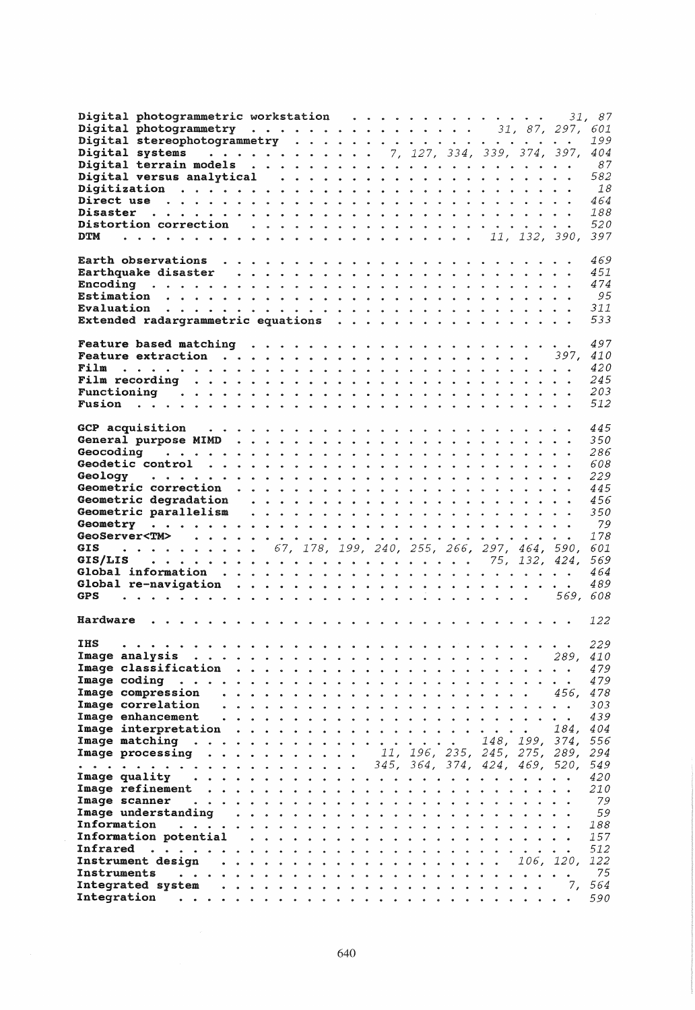| Digital photogrammetric workstation<br>Digital systems 7, 127, 334, 339, 374, 397,                                                                                                                                             |   |  |  |                               | 31.           | 87<br>601<br>199<br>404 |
|--------------------------------------------------------------------------------------------------------------------------------------------------------------------------------------------------------------------------------|---|--|--|-------------------------------|---------------|-------------------------|
|                                                                                                                                                                                                                                |   |  |  |                               |               | 87                      |
|                                                                                                                                                                                                                                |   |  |  |                               |               | 582                     |
|                                                                                                                                                                                                                                |   |  |  |                               |               | 18                      |
|                                                                                                                                                                                                                                |   |  |  |                               |               | 464                     |
|                                                                                                                                                                                                                                |   |  |  |                               |               | 188                     |
| Distortion correction (a) and a set of the correction (b) and a set of the correction (b) and the correction of the correction of the correction of the correction of the correction of the correction of the correction of th |   |  |  |                               |               | 520                     |
| <b>DTM</b>                                                                                                                                                                                                                     |   |  |  |                               | 11, 132, 390, | 397                     |
|                                                                                                                                                                                                                                |   |  |  |                               |               |                         |
|                                                                                                                                                                                                                                |   |  |  |                               |               | 469                     |
|                                                                                                                                                                                                                                |   |  |  |                               |               | 451                     |
|                                                                                                                                                                                                                                |   |  |  |                               |               | 474                     |
|                                                                                                                                                                                                                                |   |  |  |                               |               | 95                      |
|                                                                                                                                                                                                                                |   |  |  |                               |               | 311                     |
| Extended radargrammetric equations                                                                                                                                                                                             |   |  |  |                               |               | 533                     |
|                                                                                                                                                                                                                                |   |  |  |                               |               |                         |
|                                                                                                                                                                                                                                |   |  |  |                               |               | 497                     |
| <b>Feature extraction</b> $\ldots$ $\ldots$ $\ldots$ $\ldots$ $\ldots$ $\ldots$ $\ldots$ $\ldots$ $\ldots$ $\ldots$ 397,                                                                                                       |   |  |  |                               |               | 410                     |
| Film                                                                                                                                                                                                                           |   |  |  |                               |               | 420                     |
|                                                                                                                                                                                                                                |   |  |  |                               |               | 245                     |
|                                                                                                                                                                                                                                |   |  |  |                               |               | 203                     |
|                                                                                                                                                                                                                                |   |  |  |                               |               | 512                     |
|                                                                                                                                                                                                                                |   |  |  |                               |               |                         |
|                                                                                                                                                                                                                                |   |  |  |                               |               | 445                     |
|                                                                                                                                                                                                                                |   |  |  |                               |               | 350                     |
|                                                                                                                                                                                                                                |   |  |  |                               |               | 286                     |
|                                                                                                                                                                                                                                |   |  |  |                               |               | 608                     |
| Geology                                                                                                                                                                                                                        |   |  |  |                               |               | 229                     |
|                                                                                                                                                                                                                                |   |  |  |                               |               | 445                     |
|                                                                                                                                                                                                                                |   |  |  |                               |               | 456                     |
|                                                                                                                                                                                                                                |   |  |  |                               |               | 350                     |
|                                                                                                                                                                                                                                |   |  |  |                               |               | 79                      |
|                                                                                                                                                                                                                                |   |  |  |                               |               | 178                     |
| $\cdots$ $\cdots$ $\cdots$ $\cdots$ 67, 178, 199, 240, 255, 266, 297, 464, 590,<br><b>GIS</b>                                                                                                                                  |   |  |  |                               |               | 601                     |
|                                                                                                                                                                                                                                |   |  |  |                               |               | 569                     |
|                                                                                                                                                                                                                                |   |  |  |                               |               | 464                     |
|                                                                                                                                                                                                                                |   |  |  |                               |               | 489                     |
| <b>GPS</b>                                                                                                                                                                                                                     |   |  |  |                               | 569, 608      |                         |
| Hardware                                                                                                                                                                                                                       |   |  |  |                               |               | 122                     |
| <b>IHS</b><br>.                                                                                                                                                                                                                |   |  |  |                               |               | 229                     |
|                                                                                                                                                                                                                                |   |  |  |                               | 289,          | 410                     |
|                                                                                                                                                                                                                                |   |  |  |                               |               | 479                     |
| Image coding                                                                                                                                                                                                                   |   |  |  |                               |               | 479                     |
| Image compression                                                                                                                                                                                                              |   |  |  |                               | 456.          | 478                     |
| Image correlation                                                                                                                                                                                                              |   |  |  |                               |               | 303                     |
| Image enhancement                                                                                                                                                                                                              |   |  |  |                               |               | 439                     |
|                                                                                                                                                                                                                                |   |  |  |                               | 184.          | 404                     |
|                                                                                                                                                                                                                                |   |  |  | 148, 199, 374,                |               | 556                     |
| <b>Image processing</b> 11, 196, 235, 245, 275, 289,                                                                                                                                                                           |   |  |  |                               |               | 294                     |
| .                                                                                                                                                                                                                              | . |  |  | 345, 364, 374, 424, 469, 520, |               | 549                     |
| Image quality                                                                                                                                                                                                                  |   |  |  |                               |               | 420                     |
|                                                                                                                                                                                                                                |   |  |  |                               |               | 210                     |
| Image scanner                                                                                                                                                                                                                  |   |  |  |                               |               | 79                      |
| Image understanding                                                                                                                                                                                                            |   |  |  |                               |               | 59                      |
| Information<br>$\ddot{\bullet}$ $\ddot{\bullet}$                                                                                                                                                                               |   |  |  |                               |               | 188                     |
| Information potential                                                                                                                                                                                                          |   |  |  |                               |               | 157                     |
| Infrared                                                                                                                                                                                                                       |   |  |  |                               |               | 512                     |
|                                                                                                                                                                                                                                |   |  |  |                               |               | 122                     |
| Instruments                                                                                                                                                                                                                    |   |  |  |                               |               | 75                      |
|                                                                                                                                                                                                                                |   |  |  |                               |               | 564                     |
|                                                                                                                                                                                                                                |   |  |  |                               |               | 590                     |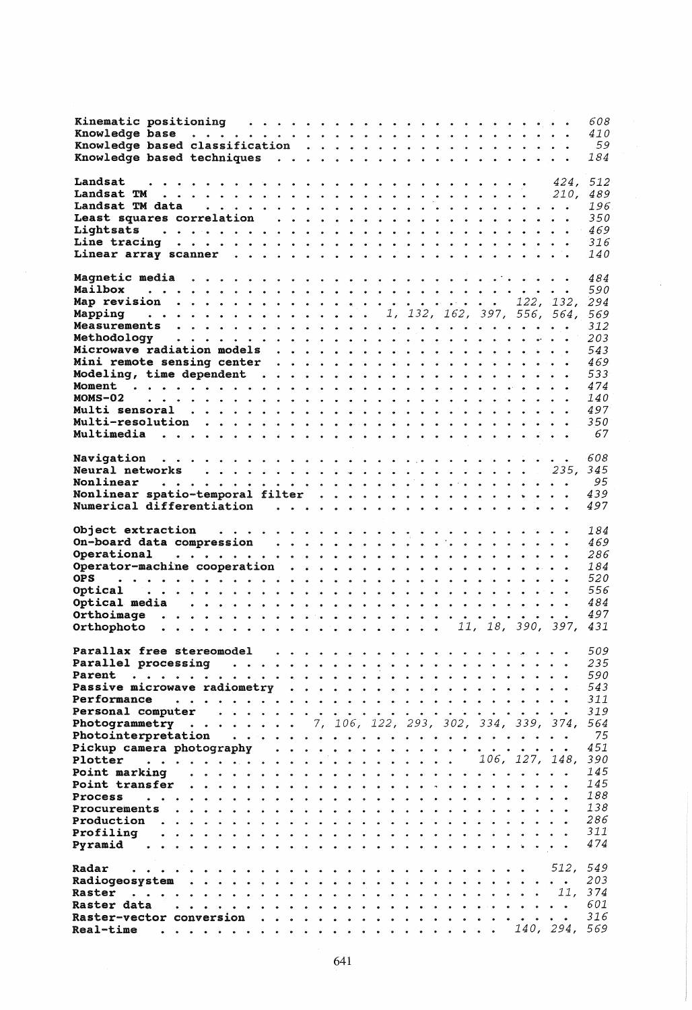|                                                                                                                                                                                                                                                                                          |                                                                                                                     |  |  |   | 608<br>410<br>- 59<br>184                                                                                          |
|------------------------------------------------------------------------------------------------------------------------------------------------------------------------------------------------------------------------------------------------------------------------------------------|---------------------------------------------------------------------------------------------------------------------|--|--|---|--------------------------------------------------------------------------------------------------------------------|
| Landsat<br>Landsat TM data<br>Lightsats                                                                                                                                                                                                                                                  |                                                                                                                     |  |  |   | 512<br>424,<br>489<br>210.<br>196<br>350<br>469<br>316<br>140                                                      |
| Mailbox<br>Mapping<br>$MOMS-02$                                                                                                                                                                                                                                                          | $\cdots$ 1, 132, 162, 397, 556, 564,                                                                                |  |  |   | 484<br>590<br>569<br>312<br>203<br>543<br>469<br>533<br>474<br>140<br>497<br>350<br>67                             |
| Nonlinear spatio-temporal filter $\cdots$<br><b>OPS</b><br>Optical<br>Orthophoto                                                                                                                                                                                                         | .<br>In the three terms and a state and a state of the state of the state of the state of the state of the state of |  |  |   | 608<br>- 95<br>439<br>497<br>184<br>469<br>286<br>184<br>520<br>556<br>484<br>497<br>431                           |
| Parallax free stereomodel<br>Parallel processing<br>Performance<br>Personal computer<br><b>Photogrammetry</b> 7, 106, 122, 293, 302, 334, 339, 374,<br>Pickup camera photography<br>Plotter<br>Point marking<br><b>Point transfer</b><br>Process<br>Procurements<br>Profiling<br>Pyramid |                                                                                                                     |  |  | . | 509<br>235<br>590<br>543<br>311<br>319<br>564<br>75<br>451<br>390<br>145<br>145<br>188<br>138<br>286<br>311<br>474 |
| Radar<br>Radiogeosystem<br>Raster<br>$\bullet$ $\bullet$ $\bullet$ $\bullet$<br>Raster data<br>Raster-vector conversion<br>Real-time                                                                                                                                                     |                                                                                                                     |  |  |   | 549<br>512.<br>203<br>11, 374<br>601<br>316                                                                        |